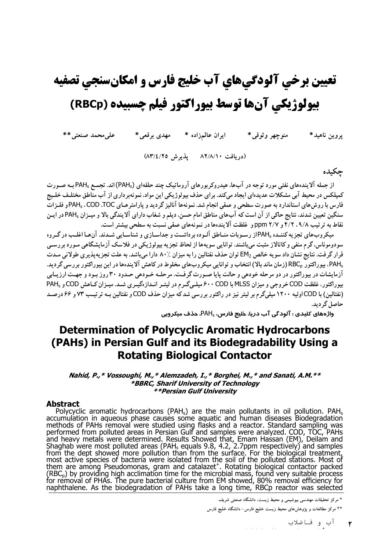# تعيين برخي آلودگيهاي آب خليج فارس و امكانسنجي تصفيه بیولوژیکی آنها توسط بیوراکتور فیلم چسبیده (RBCp)

ايران عالمزاده \* مهدى برقعي\* على محمد صنعتى \*\* منوجهر وثوقى\* پروين ناهيد\*

(دریافت ۸۲/۸/۱۰ پذیرش ۸۳/٤/۲۵)

## حكىدە

از جمله آلایندههای نفتی مورد توجه در آبها، هیدروکربورهای آروماتیک چند حلقهای (PAH<sub>s</sub>) اند. تجمـع PAH<sub>s</sub>بـه صـورت کمپلکس در محیط آبی مشکلات عدیدهای ایجاد میکند. برای حذف بیولوژیکی این مواد، نمونهبرداری از آب مناطق مختلـف خلـیج فارس با روشهای استاندارد به صورت سطحی و عمقی انجام شد. نمونهها آنالیز گردید و پارامترهـای PAH<sub>s</sub> ، COD ،TOCو فلـزات سنگین تعیین شدند، نتایج حاکی از آن است که آبهای مناطق امام حسن، دیلم و شغاب دارای آلایندگی بالا و میـزان PAHsدر ایـن نقاط به ترتیب ۴/۲ ، ۹/۸ و ppm ۲/۷ و غلظت آلایندهها در نمونههای عمقی نسبت به سطحی بیشتر است.

میکر وب های تجزیه کننــده PAHاز رسـوبات منــاطق آلـوده بر داشــت و جداســازی و شناســایی شــدند. آن هــا اغلـب در گـروه سودوموناس،گرم منفی و کاتالاز مثبت میباشند. توانایی سویهها از لحاظ تجزیه بیولوژیکی در فلاسک آزمایشگاهی مـورد بررسـی قرار گرفت. نتایج نشان داد سویه خالص EM2 توان حذف نفتالین را به میزان ۸۰٪ دارا می باشد. به علت تجزیه پذیری طولانی مـدت ، PAH، بیو راکتور RBC (زمان ماند بالا) انتخاب و توانایی میکروبهای مخلوط در کاهش آلایندهها در این بیوراکتور بررسی گردید. آزمایشات در بپوراکتور در دو مرحله خودهی و حالت پایا صـورت گرفـت. مرحلـه خـودهی حـدود ۳۰ روز بـود و جهـت ارزیـابی بیوراکتور، غلظت COD خروجی و میزان MLSS با ۶۰۰ COD میلے گرم در لیتـر انـدازهگیـری شـد. میـزان کـاهش COD و PAH<sub>s</sub> (نفتالین) با CODاولیه ۱۲۰۰ میلیگرم بر لیتر نیز در راکتور بررسی شد که میزان حذف COD و نفتالین بـه ترتیـب ۷۳ و ۶۶ درصـد حاصل گر دید.

واژههای کلیدی : آلودگی آب دریا، خلیج فارس، PAH، حذف میکروبی

# **Determination of Polycyclic Aromatic Hydrocarbons** (PAHs) in Persian Gulf and its Biodegradability Using a **Rotating Biological Contactor**

#### Nahid, P.,\* Vossoughi, M.,\* Alemzadeh, I.,\* Borghei, M.,\* and Sanati, A.M.\*\* \*BBRC, Sharif University of Technology *\*\*Persian Gulf University*

#### **Abstract**

**Abstract**<br>Polycyclic aromatic hydrocarbons (PAH<sub>s</sub>) are the main pollutants in oil pollution. PAH<sub>s</sub><br>Polycyclic aromatic hydrocarbons (PAH<sub>s</sub>) are the main pollutants in oil pollution. PAH<sub>s</sub><br>methods of PAHs removal were

\* مرکز تحقیقات مهندسی بیوشیمی و محیط زیست، دانشگاه صنعتی شریف

\*\* مرکز مطالعات و پژوهشرهای محیط زیست خلیج فارس- دانشگاه خلیج فارس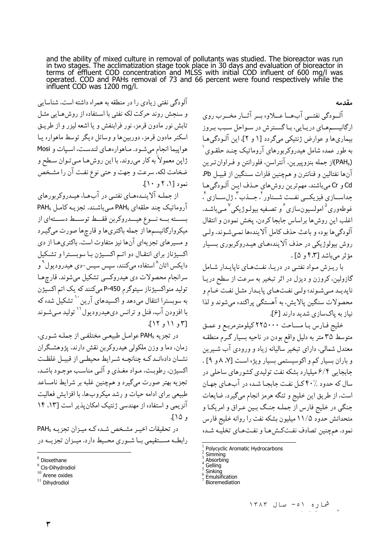and the ability of mixed culture in removal of pollutants was studied. The bioreactor was run in two stages. The acclimatization stage took place in 30 days and evaluation of bioreactor in terms of effluent COD concentrati influent COD was 1200 mg/l.

مقدمه

آلودگی نفتی زیادی را در منطقه به همراه داشته است. شناسایی و سنجش روند حرکت لکه نفتی با استفاده از روش هبایی مثبل تابش نور مادون قرمز، نور فرابنفش و یا اشعه لیزر و از طریـق اسکنر مادون قرمز، دوربینها و وسائل دیگر توسط ماهواره یـا هواپيما انجام مي شود. مـاهوارههـاي لندسـت، اسـپات و Mosi ژاپن معمولاً به کار میروند. با این روش هـا مـیتـوان سـطح و ضخامت لکه، سرعت و جهت و حتی نوع نفت آن را مشـخص  $\lceil \cdot \, \cdot \, \rceil \cdot \rceil$  :  $\lceil \cdot \, \cdot \, \rceil$ 

از جملـه آلاينــدههــاي نفتــي در آبهــا، هيــدروكربورهاي آروماتیک چند حلقهای PAHs مه باشند. تجزیـه کامـل PAHs بســـته بـــه نـــوع هيـــدروكربن فقـــط توســـط دســـتهاى از میکروارگانیسمها از جمله باکتریها و قارچها صورت میگیـرد و مسیرهای تجزیهای آنها نیز متفاوت است. باکتریها از دی اکسیژناز برای انتقـال دو اتـم اکسـیژن بـا سوبسـترا و تشـکیل دایکس اتان^استفاده میکنند، سیس سیس−دی هیدرودیول° و سرانجام محصولات دي هيدروكسي تشكيل ميشوند. قارچها تولید منواکسیژناز سیتوگرم P-450 میکنند که یک اتم اکسیژن به سوبسترا انتقال می دهد و اکسیدهای آرین `` تشکیل شده که با افزودن آب، فنل و ترانس دي هيدروديول `` توليد مـيشـوند  $[17, 11, 11]$ 

در تجزیه PAHs عوامـل طبیعـی مختلفـی از جملـه شـوری، زمان، دما و وزن ملکولی هیدروکربن نقش دارند. پژوهشگران نشـان دادهانـد كــه چنانچــه شــرايط محيطــى از قبيــل غلظـت اکسیژن، رطوبت، مـواد مغـذي و آلـي مناسـب موجـود باشـد. تجزیه بهتر صورت میگیرد و همچنین غلبه بر شرایط نامساعد طبیعی برای ادامه حیات و رشد میکروبها، با افزایش فعالیت آنزیمی و استفاده از مهندسی ژنتیک امکان پذیر است [۱۳، ۱۴ و ۱۵ آ.

در تحقیقات اخیـر مشـخص شـده کـه میـزان تجزیـه PAHs رابطــه مســتقيمي بــا شــوري محــيط دارد. ميــزان تجزيــه در آلسودگي نفتــي آبِهــا عـــلاوه بــر آثــار مخــرب روي ارگانیسمههای دریایی، باگسترش در سواحل سبب بروز بيماري ها و عوارض ژنتيكي مي گردد [۱ و ۲]. اين آلـودگي هـا به طور عمده شامل هیدروکربورهای آروماتیک چنـد حلقـوی (PAHs)از جمله بنزوییرین، آنتراسن، فلورانتن و فـراوان تـرین آنها نفتالين و فنانترن و همچنين فلزات سـنگين از قبيـل Pb. Cd و Cr مىباشند. مهمترين روش هاى حـذف ايـن آلـودگى هـا جداســـازي فيزيكـــي نفــت شـــناور '، جـــذب "، ژل ســازي '، غوطهوري<sup>0</sup> امولسيون سازي<sup>ع</sup> و تصـفيه بيولـو ژيکي <sup>٧</sup> مـي باشـد. اغلب اين روشءا براساس جابجا كردن، يخش نمودن و انتقال آلودگي ها بوده و باعث حذف كامل آلايندهها نمبي شـوند، ولـي روش بیولوژیکی در حذف آلایندههای هیدروکربوری بسیار مؤثر مے باشد [۴٫۳ و ۲۵].

با ریزش مواد نفتی در دریا، نفتهای ناپایدار شامل گازولین، کروزن و دیزل در اثر تبخیر به سرعت از سطح دریـا نايديـد مـي شـوند؛ ولـي نفـتهـاي پايـدار مثـل نفت خـام و محصولات سنگین پالایش، به آهستگی پراکنده می شوند و لذا نياز به پاکسازي شديد دارند [۶].

خليج فارس با مساحت ٢٢٥٠٠٠ كيلومترمربع و عمق متوسط ٣۵ متر به دليل واقع بودن در ناحيه بسيار گـرم منطقـه معتدل شمالي، داراي تبخير ساليانه زياد و ورودي آب شـيرين و باران بسیار کم و اکوسیستمی بسیار ویژه است [۷، ۸ و ۹] . جابجایی ۶/۴ میلیارد بشکه نفت تولیدی کشورهای ساحلی در سال که حدود ۲۰٪ کـل نفـت جابجـا شـده در آبِهـای جهـان است، از طريق اين خليج و تنگه هرمز انجام ميگيرد. ضايعات جنگی در خلیج فارس از جملـه جنـگ بـین عـراق و امریکـا و متحدانش حدود ۱۱/۵ میلیون بشکه نفت را روانه خلیج فارس نمود. همچنین تصادف نفتکشها و نفتهای تخلیـه شـده

 $8$  Dioxethane

<sup>&</sup>lt;sup>9</sup> Cis-Dihydrodiol

 $10$  Arene oxides

<sup>&</sup>lt;sup>11</sup> Dihydrodiol

 $\frac{1}{2}$  Polycyclic Aromatic Hydrocarbons

Simming

Absorbing Gelling

Sinkina

Emulsification

**Bioremediation**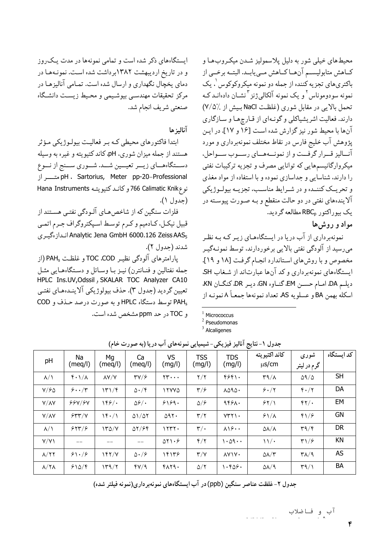ایستگاههای ذکر شده است و تمامی نمونهها در مدت یک روز و در تاريخ ارديبهشت ١٣٨٢برداشت شده است. نمونهها در دمای یخچال نگهداری و ارسال شده است. تمـامی آنالیزهـا در مرکز تحقیقات مهندسبی بیوشیمی و محیط زیست دانشگاه صنعتي شريف انجام شد.

### آناليز ها

ابتدا فاکتورهای محیطی کـه بـر فعالیـت بیولـوژیکی مـؤثر هستند از جمله میزان شوری، pH، کاند کتیویته و غیره به وسیله دســتگاههــاي زيــر تعيــين شــد. شــوري ســنج از نــوع pH ، Sartorius, Meter pp-20-Professional نوع 766 Calimatic Knik و كانـد كتيويتـه Hana Instruments (جدول ۱).

فلزات سنگین که از شاخصهـای آلـودگی نفتـی هسـتند از قبیل نیکـل، کـادمیم و کـرم توسـط اسـپکتروگراف جـرم اتمـي Analytic Jena GmbH 6000.126 Zeiss AAS<sub>5</sub> انداز ،گیری شدند (حدول ٢).

يارامترهاي آلودگي نظيـر TOC .COD و غلظـت PAH (از جمله نفتالین و فنـانترن) نیـز بـا وسـائل و دسـتگاههـایی مثـل HPLC Ins.UV, Odssil, SKALAR TOC Analyzer CA10 تعيين گرديد (جدول ٣). حذف بيولوژيكي آلاينـدههـاي نفتـي PAHs توسط دستگاه HPLC و به صورت درصد حـذف و COD و TOC در حد ppm مشخص شده است.

محيطهاي خيلي شور به دليل پلاسموليز شـدن ميكـروبهـا و كـاهش متابوليسـم آنهـاكـاهش مـييابـد. البتـه برخـي از باکتريهاي تجزيه کننده از جمله دو نمونه ميکروکوکوس <sup>۱</sup>، يک نمونه سودوموناس<sup>٬</sup> و یک نمونه آلکال<sub>ی</sub>ژنز <sup>۳</sup>نشـان دادهانـد کـه تحمل بالايي در مقابل شوري (غلظت NaCl بيش از ٪۷/۵) دارند. فعالیت اشریشیاکلی و گونهای از قـارچهـا و سـازگاری آنها با محیط شور نیز گزارش شده است [۱۶ و ۱۷]. در ایـن پژوهش آب خلیج فارس در نقاط مختلف نمونهبرداری و مورد آنساليز قسرار گرفست و از نمونسههساي رسسوب سسواحل، میکروارگانیسمهایی که توانایی مصرف و تجزیه ترکیبات نفتی را دارند. شناسایی و جداسازی نموده و با استفاده از مواد مغذی و تحريــک کننــده و در شــرايط مناســب، تجزيــه بيولــوژيکي آلایندههای نفتی در دو حالت منقطع و بـه صـورت پیوسـته در یک بیوراکتور RBCp مطالعه گردید.

مواد و روش ها

نمونهبرداری از آب دریا در ایستگاههای زیـر کـه بـه نظـر میرسید از آلودگی نفتی بالایی برخوردارند، توسط نمونـهگیـر مخصوص وبا روش های استاندارد انجام گرفت [١٨ و ١٩]. ایستگاههای نمونهبرداری و کد آنها عبارتاند از شغاب SH. ديلم DA، امـام حسـن EM، گنـاوه GN، ديـر DR، كنگـان KN، اسكله بهمن BA و عسلويه AS. تعداد نمونهها جمعـاً ٨ نمونـه از

Micrococcus

 $2$  Pseudomonas

 $3$  Alcaligenes

| pH                         | Na<br>(meq/l)               | Mg<br>(meq̃/l)       | Ca<br>(meq/l)                     | VS<br>(mg/l)         | <b>TSS</b><br>(mg/l)    | <b>TDS</b><br>(mg/l)                  | كاند اكتيويته<br>$\mu$ s/cm       | شوری<br>گرم در لیتر               | کد اىستگاه |
|----------------------------|-----------------------------|----------------------|-----------------------------------|----------------------|-------------------------|---------------------------------------|-----------------------------------|-----------------------------------|------------|
| $\lambda/\lambda$          | $f \cdot \frac{1}{\Lambda}$ | $\lambda$ Y/Y        | $\mathsf{r}\mathsf{v}/\mathsf{s}$ | $rr \cdots$          | $\frac{1}{\sqrt{2}}$    | 5551.                                 | $\mathsf{r}\mathsf{a}/\mathsf{A}$ | $\Delta$ 9/ $\Delta$              | <b>SH</b>  |
| Y/FQ                       | 5.74                        | $\frac{1}{\sqrt{2}}$ | $\Delta \cdot / \xi$              | <b>ITYYA</b>         | $\mathbf{r}/\mathbf{s}$ | $\lambda\Delta\mathcal{A}\Delta\cdot$ | 9.7                               | $f \cdot / 7$                     | DA         |
| $Y/\Lambda Y$              | 99Y/9Y                      | 199/                 | $\Delta \mathcal{S}/\cdot$        | 9199.                | $\Delta$ / $\epsilon$   | 9498.                                 | 51/1                              | $\frac{6}{7}$                     | EM         |
| $Y/\Lambda Y$              | 544/4                       | $1f \cdot / 1$       | $\Delta 1/\Delta 7$               | 097.                 | $\mathbf{r}/\mathbf{r}$ | $YYY \cap$                            | $51/\lambda$                      | $f\frac{1}{2}$                    | <b>GN</b>  |
| $\lambda/\lambda$          | 5577/5                      | $Y^2$                | 07/99                             | 1557.                | $\mathbf{r}/\mathbf{.}$ | $\lambda$ \ $\mathcal{S}$             | $\Delta\lambda/\lambda$           | $\mathbf{r}^q/\mathbf{r}$         | DR.        |
| Y/Y                        | $-$                         |                      |                                   | $\Delta Y \cdot 5$   | $f/\gamma$              | ۱۰۵۹۰۰                                | $\frac{1}{2}$                     | $\mathbf{r} \setminus \mathbf{r}$ | KN         |
| $\lambda/\Upsilon\Upsilon$ | 81.79                       | 197/Y                | $\Delta \cdot 19$                 | 14148                | $\mathsf{r}/\mathsf{v}$ | <b>AVIV.</b>                          | $\Delta\lambda/\tau$              | $\mathsf{r}\wedge\mathsf{r}$      | <b>AS</b>  |
| $\lambda/\Upsilon\Lambda$  | 510/6                       | 149/7                | fV/9                              | $f\wedge f\varphi$ . | $\Delta/\Upsilon$       | .689.                                 | $\Delta\lambda$ /9                | $\mathsf{r}\mathsf{a}/\mathsf{r}$ | BA         |

جدول ۱-نتایج آنالیز فیزیکی-شیمیایی نمونههای آب دریا (به صورت خام)

جدول ۲- غلظت عناصر سنگین (ppb) در آب ایستگاههای نمونهبر داری(نمونه فیلتر شده)

آب ٍو فاضلاب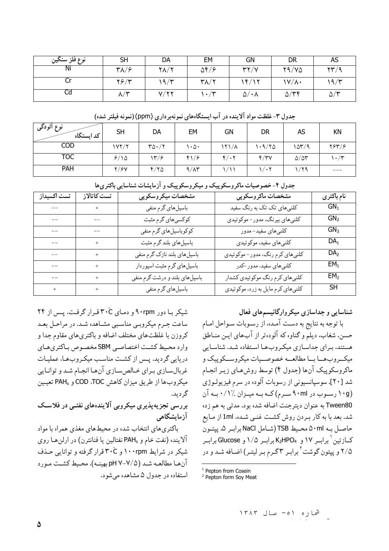| نوع فلز سنكين | <b>SH</b>                            | DA           | EM                           | GN                    | <b>DR</b>            | AS                                      |
|---------------|--------------------------------------|--------------|------------------------------|-----------------------|----------------------|-----------------------------------------|
| Ni            | $\mathsf{r}_{\mathsf{A}}/\mathsf{s}$ | $Y\Lambda/Y$ | $\Delta f / 8$               | YY/Y                  | Y9/YQ                | $\mathcal{Y} \mathcal{Y} / \mathcal{Y}$ |
| ◡             | $Y \in Y$                            | ۱۹/۳         | $\mathsf{r}\wedge\mathsf{r}$ | ۴/۱۲                  | $\frac{1}{\sqrt{2}}$ | 19/5                                    |
| Cd            | . / $\forall$<br>$\mathcal{N}/$      | V/Y          | $\cdot$ /۳                   | $\Delta/\cdot\Lambda$ | $\Delta/\tau\tau$    | $\Delta/\tau$                           |

نوع آلود*گی* DA **SH FM GN DR AS KN** کد ایستگاه  $COD$  $1YY/Y$  $r_0.7r$  $\cdot \Delta$  $151/A$  $1.9/70$  $107/9$  $Y5Y/5$ **TOC**  $f/\cdot 7$  $9/10$  $14/9$  $f/6$  $f/\tau v$  $\Delta/\Delta r$  $\mathcal{N} \cdot \mathcal{N}$ PAH  $Y/SV$  $Y/Y$  $9/\lambda$ ۳  $\sqrt{2}$  $\sqrt{\cdot 7}$  $1/79$  $\frac{1}{1}$ 

جدول ۳-غلظت مواد آلاینده در آب ایستگاههای نمونهبرداری (ppm) (نمونه فیلتر شده)

| جدوں ، محصوصیات ماتروسٹوپیٹ و میخروسخوپیٹ و اردیسات سندسایی باتنری کا |             |                                |                                   |                 |  |  |  |  |
|-----------------------------------------------------------------------|-------------|--------------------------------|-----------------------------------|-----------------|--|--|--|--|
| تست اکسیداز                                                           | تست كاتالاز | مشخصات ميكروسكوپي              | مشخصات ماكروسكوپي                 | نام باكترى      |  |  |  |  |
|                                                                       | $^{+}$      | باسیلهای گرم منفی              | کلنیهای تک تک به رنگ سفید         | $GN_1$          |  |  |  |  |
|                                                                       |             | کوکسیهای گرم مثبت              | کلنیهای بیرنگ، مدور – موکوئیدی    | GN <sub>2</sub> |  |  |  |  |
|                                                                       |             | کوکوباسیلهای گرم منفی          | كلنيهاي سفيد-مدور                 | GN <sub>3</sub> |  |  |  |  |
|                                                                       | $^{+}$      | باسیلهای بلندگرم مثبت          | كلنىهاى سفيد، موكوئيدي            | DA <sub>1</sub> |  |  |  |  |
| --                                                                    | $^{+}$      | باسیلهای بلند نازک گرم منفی    | کلنیهای کرم رنگ، مدور – موکوئیدی  | DA <sub>2</sub> |  |  |  |  |
| --                                                                    | $+$         | باسیلهای گرم مثبت اسپوردار     | كلنىهاى سفيد، مدور –كدر           | EM <sub>1</sub> |  |  |  |  |
| --                                                                    | $^{+}$      | باسیل های بلند و درشت گرم منفی | کلنیهای کرم رنگ موکوئیدی کشدار    | EM <sub>2</sub> |  |  |  |  |
| $+$                                                                   | $+$         | باسیلهای گرم منفی              | کلنیهای کرم مایل به زرد، موکوئیدی | SH              |  |  |  |  |

سات ماک میں تک دیک میں تک مسکن رک میں آزمانشات شناسان

شیکر با دور ۹۰rpm و دمای ۳۰ٌC قرار گرفت. پس از ۲۴ ساعت جـرم میکروبـی مناسـبی مشـاهده شـد. در مراحـل بعـد کروزن با غلظتهای مختلف اضافه و باکتریهای مقاوم جدا و وارد محيط كشت اختصاصي SBM مخصوص باكترى هاي دریایی گردید. پس از کشت مناسب میکروبها، عملیات غربال سازي براي خـالصسازي آنهـا انجـام شـد و توانـايي ميكروبها از طريق ميزان كاهش COD ،TOC و PAHs تعيين گ دىد.

بررسي تجزيه پذيري ميكروبي آلايندههاي نفتبي در فلاسك آزمایشگاهی

باکتری های انتخاب شده در محیط های مغذی همراه با مواد آلاينده (نفت خام و PAHs نفتالين يا فنانترن) در ارلن هـا روى شیکر در شرایط ۱۰۰rpm و ۳۰ٌC قرار گرفته و توانایی حذف آنها مطالعـه شـد (pH Y-Y/۵ بهينـه). محـيط كشـت مـورد استفاده در جدول ۵ مشاهده میشود. شناسایی و جداسازی میکروارگانیسمهای فعال

با توجه به نتايج به دست آمـده، از رسـوبات سـواحل امـام حسن. شغاب، دیلم و گناوه که آلودهتر از آبهای ایـن منـاطق هستند، بیرای جداسیازی میکیروب هیا استفاده شید. شناسیایی میک روب هــا بــا مطالعــه خصوصــیات میکروســکوییک و ماکروسکوپیک آنها (جدول ۴) توسط روشهای زیـر انجـام شد [۲۰]. سوسپانسیونی از رسوبات آلوده در سرم فیزیولـوژی (۱۰g رسوب در ۹۰ml سرم) کـه بـه ميـزان ./۰/۱ بـه آن Tween80 به عنوان ديترجنت اضافه شده بود، مدتي به هم زده شد. بعد با به کار بـردن روش کشـت غنـی شـده، 1ml از مـایع حاصل بـه ۵۰ml محـيط TSB (شـامل NaCl برابـر ۵، پيتـون كسازئين` برايير ١٧ و\_ K2HPO4 برايير ١/٥ و Glucose برايير ۲/۵ و پیتون گوشت <sup>۲</sup> برابر ۳گرم بر لیتر) اضافه شـد و در

<sup>&</sup>lt;sup>1</sup> Pepton from Cosein

<sup>&</sup>lt;sup>2</sup> Pepton form Soy Meat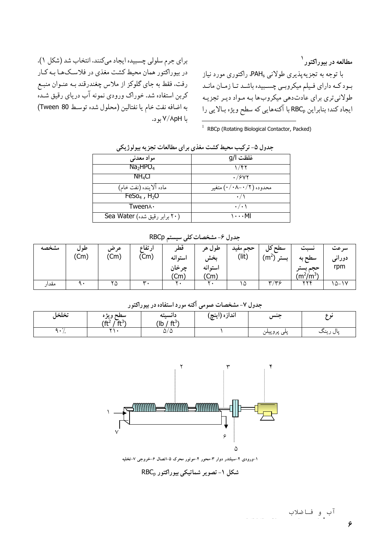مطالعه در بيوراكتور<sup>\</sup> با توجه به تجزیهپذیری طولانی PAHg، راکتوری مورد نیاز بـود کـه داراي فـيلم ميکروبـي چسـبيده باشـد تـا زمـان مانـد طولانی تری برای عادتدهی میکروبها به مـواد ديـر تجزيـه ایجاد کند؛ بنابراین RBC<sub>p</sub> با آکنههایی که سطح ویژه بـالایی را

در بیوراکتور همان محیط کشت مغذی در فلاسـکما بـه کـار رفت. فقط به جاي گلوكز از ملاس چغندرقند بـه عنـوان منبـع کربن استفاده شد. خوراک ورودی نمونه آب دریای رقیق شـدّه به اضافه نفت خام يا نفتالين (محلول شده توسط Tween 80) با ۷/۸pH بود.

براي جرم سلولي چسبيده ايجاد مي كنند، انتخاب شد (شكل ١).

<sup>1</sup> RBCp (Rotating Biological Contactor, Packed)

|                                  | 500 THE PULLER          |  |  |  |  |  |  |
|----------------------------------|-------------------------|--|--|--|--|--|--|
| مواد معدني                       | غلظت ا/g                |  |  |  |  |  |  |
| Na <sub>2</sub> HPO <sub>4</sub> | ۱/۴۲                    |  |  |  |  |  |  |
| NH <sub>4</sub> Cl               | .7947                   |  |  |  |  |  |  |
| ماده آلاینده (نفت خام)           | محدوده (۰/۰۸–۰/۰) متغیر |  |  |  |  |  |  |
| $F\text{eSo}_4$ , $H_2O$         |                         |  |  |  |  |  |  |
| Tween∧ ·                         | $\cdot$ / $\cdot$ \     |  |  |  |  |  |  |
| (۲۰ برابر رقيق شده) Sea Water    | ۱۰۰۰MI                  |  |  |  |  |  |  |

حدول ۵- ترکیب محیط کشت مغذی بر ای مطالعات تحز به پیولوژ یک

|  | جدول ۶- مشخصات کلی سیستم RBCp |  |
|--|-------------------------------|--|
|--|-------------------------------|--|

| مشخصه | طول<br>'Cm) | عرض<br>(Cm) | ارتفاع<br>$($ Cm $)$ | فط<br>استو انه<br>چرخان<br>'Cm | طول هر<br>يخش<br>استو انه<br>(Cm | حجم مفيد<br>(lit) | سطح کل<br>(m <sup>2</sup> )<br>ىستر | $\bullet$<br>نست<br>سطح به<br>ححم يست<br>$(m^2/m^3)$ | سر عت<br>دورانی<br>rpm |
|-------|-------------|-------------|----------------------|--------------------------------|----------------------------------|-------------------|-------------------------------------|------------------------------------------------------|------------------------|
|       |             |             |                      |                                |                                  |                   |                                     |                                                      |                        |
| مقدار | ٩.          | ۲۵          | $\mathbf{r}$ .       | $\bullet$                      |                                  | ۵ ا               | $\mathbf{r}/\mathbf{r}$             | 446                                                  | $10 - 14$              |

جدول ۷- مشخصات عمومی آکنه مورد استفاده در بیوراکتور

| تخلخل | سطح ويژه<br>ے جیعر۔<br>$f$ ft <sup>2</sup><br>$\mathrm{ft}^3$ | دانسيته<br>$(ft^3)$<br>(lb , | اندازه (اينچ) | حنس         | -             |
|-------|---------------------------------------------------------------|------------------------------|---------------|-------------|---------------|
|       |                                                               | $\omega/\omega$              |               | پنې پروپينن | پال ،<br>رينٽ |



شکل ۱- تصویر شماتیکی بیوراکتور RBC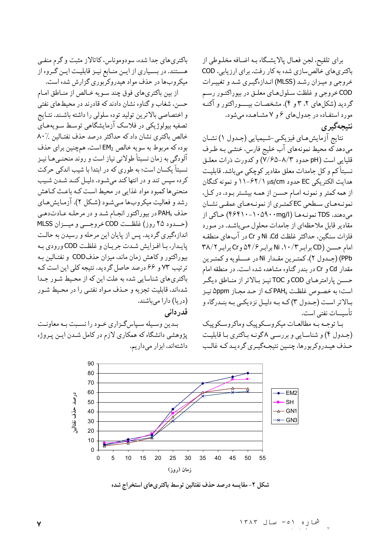براي تلقيح، لجن فعـال پالايشـگاه بـه اضـافه مخلـوطي از باکتریهای خالصسازی شده به کار رفت. برای ارزیابی، COD خروجي و ميـزان رشـد (MLSS) انـدازهگيـري شـد و تغييـرات COD خروجي و غلظت سلولهاي معلـق در بيوراكتـور رسـم گردید (شکلهای ۲،۲ و ۴). مشخصات بیــــوراکتور و آکنـه مورد استفـاده در جدولهای ۶ و ۷ مشـاهـده میشود. نتىحەگېر ي

نتايج آزمايشهاي فيزيكي-شيميايي (جـدول ١) نشـان میدهد که محیط نمونههای آب خلیج فارس، خنثـبی بـه طـرف قلیایی است (pH حدود ۸/۳–۷/۶۵–۷) و کدورت ذرات معلـق نسبتاً کم و کل جامدات معلق مقادیر کوچکی میباشد. قابلیت هدايت الكتريكي EC حدود µs/cm (١/ ٩٢-١١ و نمونه كنگان از همه کمتر و نمونـه امـام حسـن از همـه بيشـتر بـود. در کـل، نمونـههـاي سـطحي EC كُمتـرى از نمونـههـاي عمقـي نشـان مي دهند. TDS نمونـههـا (۱۰۵۹۰۰mg/l) حـاكي از مقادیر قابل ملاحظهای از جامدات محلول مے باشـد. در مـورد فلزات سنگين، حداكثر غلظت Ni ،Cd و Cr در آبهاي منطقه امام حسن (CD برابر ۱۰/۳، Ni برابر ۵۴/۶ وCr برابر ۳۸/۲ PPb) (جـدول ٢)، كمتـرين مقـدار Ni در عسـلويه و كمتـرين مقدار Cd و Cr در بندر گناوه مشاهده شده است. در منطقه امام حسـن يارامترهـاي COD و TOCتيـز بـالاتر از منـاطق ديگـر است؛ به خصوص غلظت PAHs كـه از حـد مجـاز ۵ppm نيـز بـالاتر اسـت (جـدول ٣) كـه بـه دليـل نزديكـي بـه بنـدرگاه و تأسسات نفتي است.

با توجه به مطالعات ميكروسكوپيك وماكروسكوپيك (جـدول ۴) و شناسـايي و بررسـي ٨ گونـه بـاكترى بـا قابليـت حـذف هيـدروكربورها، چنـين نتيجـهگيـري گرديـد كـه غالـب

90 80  $70$ 60  $-EM2$ درصد حذف نفتاليز 50 **SH**  $-$  GN1 40  $\star$  GN3 30 20  $10$  $\mathbf 0$  $\overline{0}$ 5  $10$ 15 20 25 30 35 40 45 50 55 زمان (روز)

شکل ۲- مقایسه درصد حذف نفتالین توسط باکتریهای استخراج شده

كرده سيس تند و در انتها كند مي شـود. دليـل كنـد شـدن شـيب منحنی ها کمبود مواد غذایی در محیط است کـه باعـث کـاهش رشد و فعالیت میکروبها میشود (شکل ۲). آزمایش های

حذف PAH، در بیوراکتور انجـام شـد و در مرحلـه عـادتدهـي (حدود ۲۵ روز) غلظت COD خروجهي و ميسزان MLSS اندازهگیری گردید. پس از پایان این مرحله و رسیدن به حالت پايدار، با افزايش شدت جريان و غلظت COD ورودي به بیوراکتور و کاهش زمان ماند، میزان حذفCOD و نفتـالین بـه ترتیب ٧٣ و ۶۶ درصد حاصل گردید. نتیجه کلی این است ک

باکتریهای جدا شده، سودوموناس، کاتالاز مثبت و گرم منفی هسـتند. در بسـیاری از ایـن منـابع نیـز قابلیـت ایـن گـروه از

میکروبها در حذف مواد هیدروکربوری گزارش شده است.

از بين باكترىهاى فوق چند سـويه خـالص از منـاطق امـام حسن، شغاب و گناوه نشان دادند که قادرند در محیطهای نفتی

و اختصاصی بالاترین تولید توده سلولی را داشته باشند. نتـایج تصفیه بیولوژیکی در فلاسک آزمایشگاهی توسط سویههـایّ

خالص باكترى نشان داد كه حداكثر درصد حذف نفتـالين ٪٨٠

بوده كه مربوط به سويه خالص EM2 است، همچنين براي حذف

آلودگی به زمان نسبتاً طولانی نیاز است و روٰند منحنـیهـا نیـز

نسبتاً یکسان است؛ به طوری که در ابتدا با شیب اندکی حرکت

باکتریهای شناسایی شده به علت این که از محیط شـور جـدا شدهاند، قابلیت تجزیه و حـذف مـواد نفتـی را در محـیط شـور (دریا) دارا میباشند. قدر دانی

بـدين وسـيله سـپاسگـزاري خـود را نسـبت بـه معاونـت پژوهشی دانشگاه که همکاری لازم در کامل شـدن ایـن پـروژه داشتهاند، ابزار میداریم.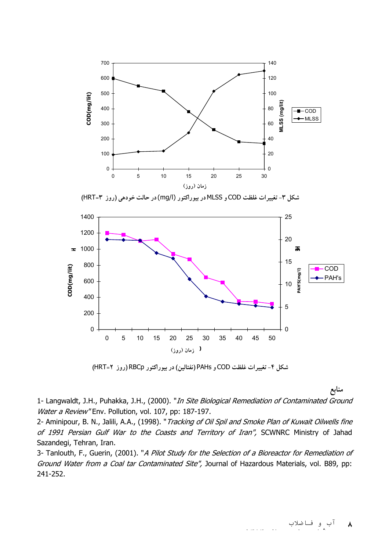

**(**HRT**=k !)** RBCp **\$ "(3 5)** PAHs **!** COD **HWX )# L jn g-C**

منابع

1- Langwaldt, J.H., Puhakka, J.H., (2000). "*In Site Biological Remediation of Contaminated Ground* Water a Review" Env. Pollution, vol. 107, pp: 187-197.

2- Aminipour, B. N., Jalili, A.A., (1998). "Tracking of Oil Spil and Smoke Plan of Kuwait Oilwells fine of 1991 Persian Gulf War to the Coasts and Territory of Iran", SCWNRC Ministry of Jahad Sazandegi, Tehran, Iran.

3- Tanlouth, F., Guerin, (2001). "A Pilot Study for the Selection of a Bioreactor for Remediation of Ground Water from a Coal tar Contaminated Site", Journal of Hazardous Materials, vol. B89, pp: 241-252.